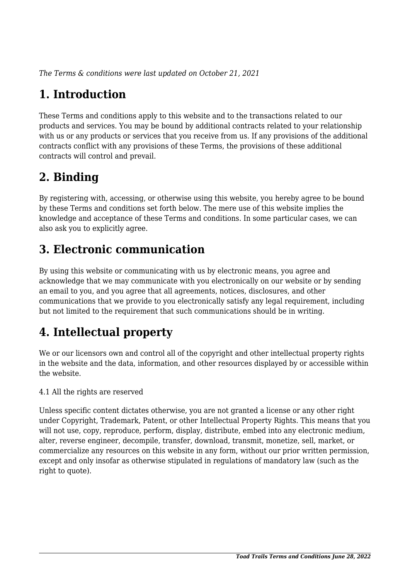*The Terms & conditions were last updated on October 21, 2021*

# **1. Introduction**

These Terms and conditions apply to this website and to the transactions related to our products and services. You may be bound by additional contracts related to your relationship with us or any products or services that you receive from us. If any provisions of the additional contracts conflict with any provisions of these Terms, the provisions of these additional contracts will control and prevail.

## **2. Binding**

By registering with, accessing, or otherwise using this website, you hereby agree to be bound by these Terms and conditions set forth below. The mere use of this website implies the knowledge and acceptance of these Terms and conditions. In some particular cases, we can also ask you to explicitly agree.

## **3. Electronic communication**

By using this website or communicating with us by electronic means, you agree and acknowledge that we may communicate with you electronically on our website or by sending an email to you, and you agree that all agreements, notices, disclosures, and other communications that we provide to you electronically satisfy any legal requirement, including but not limited to the requirement that such communications should be in writing.

# **4. Intellectual property**

We or our licensors own and control all of the copyright and other intellectual property rights in the website and the data, information, and other resources displayed by or accessible within the website.

4.1 All the rights are reserved

Unless specific content dictates otherwise, you are not granted a license or any other right under Copyright, Trademark, Patent, or other Intellectual Property Rights. This means that you will not use, copy, reproduce, perform, display, distribute, embed into any electronic medium, alter, reverse engineer, decompile, transfer, download, transmit, monetize, sell, market, or commercialize any resources on this website in any form, without our prior written permission, except and only insofar as otherwise stipulated in regulations of mandatory law (such as the right to quote).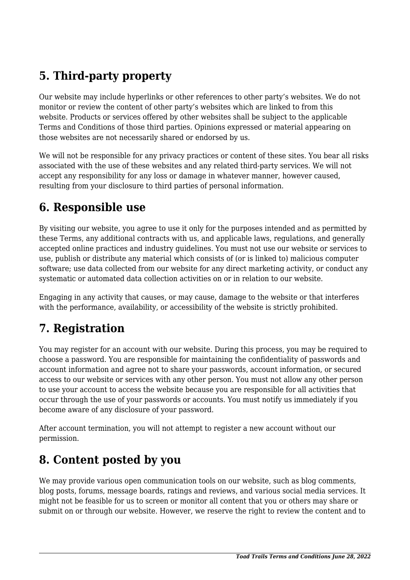## **5. Third-party property**

Our website may include hyperlinks or other references to other party's websites. We do not monitor or review the content of other party's websites which are linked to from this website. Products or services offered by other websites shall be subject to the applicable Terms and Conditions of those third parties. Opinions expressed or material appearing on those websites are not necessarily shared or endorsed by us.

We will not be responsible for any privacy practices or content of these sites. You bear all risks associated with the use of these websites and any related third-party services. We will not accept any responsibility for any loss or damage in whatever manner, however caused, resulting from your disclosure to third parties of personal information.

#### **6. Responsible use**

By visiting our website, you agree to use it only for the purposes intended and as permitted by these Terms, any additional contracts with us, and applicable laws, regulations, and generally accepted online practices and industry guidelines. You must not use our website or services to use, publish or distribute any material which consists of (or is linked to) malicious computer software; use data collected from our website for any direct marketing activity, or conduct any systematic or automated data collection activities on or in relation to our website.

Engaging in any activity that causes, or may cause, damage to the website or that interferes with the performance, availability, or accessibility of the website is strictly prohibited.

## **7. Registration**

You may register for an account with our website. During this process, you may be required to choose a password. You are responsible for maintaining the confidentiality of passwords and account information and agree not to share your passwords, account information, or secured access to our website or services with any other person. You must not allow any other person to use your account to access the website because you are responsible for all activities that occur through the use of your passwords or accounts. You must notify us immediately if you become aware of any disclosure of your password.

After account termination, you will not attempt to register a new account without our permission.

#### **8. Content posted by you**

We may provide various open communication tools on our website, such as blog comments, blog posts, forums, message boards, ratings and reviews, and various social media services. It might not be feasible for us to screen or monitor all content that you or others may share or submit on or through our website. However, we reserve the right to review the content and to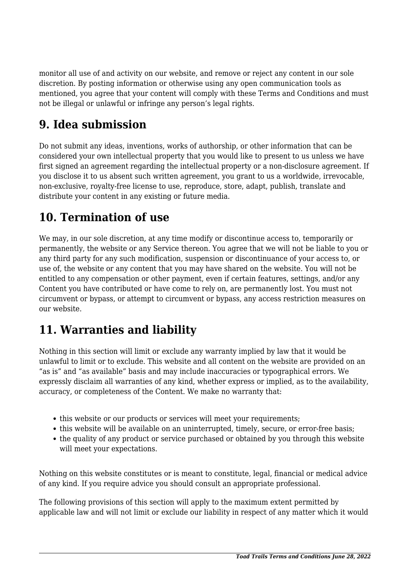monitor all use of and activity on our website, and remove or reject any content in our sole discretion. By posting information or otherwise using any open communication tools as mentioned, you agree that your content will comply with these Terms and Conditions and must not be illegal or unlawful or infringe any person's legal rights.

#### **9. Idea submission**

Do not submit any ideas, inventions, works of authorship, or other information that can be considered your own intellectual property that you would like to present to us unless we have first signed an agreement regarding the intellectual property or a non-disclosure agreement. If you disclose it to us absent such written agreement, you grant to us a worldwide, irrevocable, non-exclusive, royalty-free license to use, reproduce, store, adapt, publish, translate and distribute your content in any existing or future media.

#### **10. Termination of use**

We may, in our sole discretion, at any time modify or discontinue access to, temporarily or permanently, the website or any Service thereon. You agree that we will not be liable to you or any third party for any such modification, suspension or discontinuance of your access to, or use of, the website or any content that you may have shared on the website. You will not be entitled to any compensation or other payment, even if certain features, settings, and/or any Content you have contributed or have come to rely on, are permanently lost. You must not circumvent or bypass, or attempt to circumvent or bypass, any access restriction measures on our website.

## **11. Warranties and liability**

Nothing in this section will limit or exclude any warranty implied by law that it would be unlawful to limit or to exclude. This website and all content on the website are provided on an "as is" and "as available" basis and may include inaccuracies or typographical errors. We expressly disclaim all warranties of any kind, whether express or implied, as to the availability, accuracy, or completeness of the Content. We make no warranty that:

- this website or our products or services will meet your requirements:
- this website will be available on an uninterrupted, timely, secure, or error-free basis;
- the quality of any product or service purchased or obtained by you through this website will meet your expectations.

Nothing on this website constitutes or is meant to constitute, legal, financial or medical advice of any kind. If you require advice you should consult an appropriate professional.

The following provisions of this section will apply to the maximum extent permitted by applicable law and will not limit or exclude our liability in respect of any matter which it would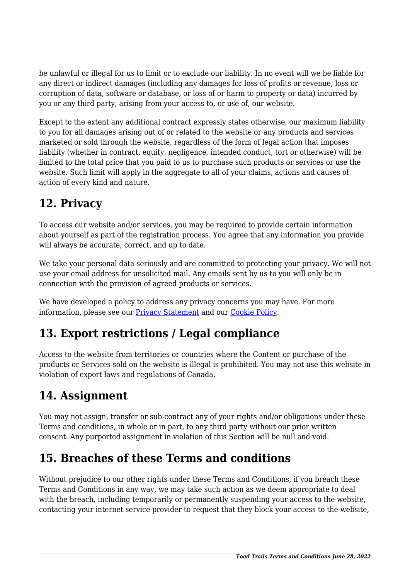be unlawful or illegal for us to limit or to exclude our liability. In no event will we be liable for any direct or indirect damages (including any damages for loss of profits or revenue, loss or corruption of data, software or database, or loss of or harm to property or data) incurred by you or any third party, arising from your access to, or use of, our website.

Except to the extent any additional contract expressly states otherwise, our maximum liability to you for all damages arising out of or related to the website or any products and services marketed or sold through the website, regardless of the form of legal action that imposes liability (whether in contract, equity, negligence, intended conduct, tort or otherwise) will be limited to the total price that you paid to us to purchase such products or services or use the website. Such limit will apply in the aggregate to all of your claims, actions and causes of action of every kind and nature.

## **12. Privacy**

To access our website and/or services, you may be required to provide certain information about yourself as part of the registration process. You agree that any information you provide will always be accurate, correct, and up to date.

We take your personal data seriously and are committed to protecting your privacy. We will not use your email address for unsolicited mail. Any emails sent by us to you will only be in connection with the provision of agreed products or services.

We have developed a policy to address any privacy concerns you may have. For more information, please see our Privacy Statement and our [Cookie Policy](https://toadtrails.com/cookie-policy-ca/).

## **13. Export restrictions / Legal compliance**

Access to the website from territories or countries where the Content or purchase of the products or Services sold on the website is illegal is prohibited. You may not use this website in violation of export laws and regulations of Canada.

## **14. Assignment**

You may not assign, transfer or sub-contract any of your rights and/or obligations under these Terms and conditions, in whole or in part, to any third party without our prior written consent. Any purported assignment in violation of this Section will be null and void.

## **15. Breaches of these Terms and conditions**

Without prejudice to our other rights under these Terms and Conditions, if you breach these Terms and Conditions in any way, we may take such action as we deem appropriate to deal with the breach, including temporarily or permanently suspending your access to the website, contacting your internet service provider to request that they block your access to the website,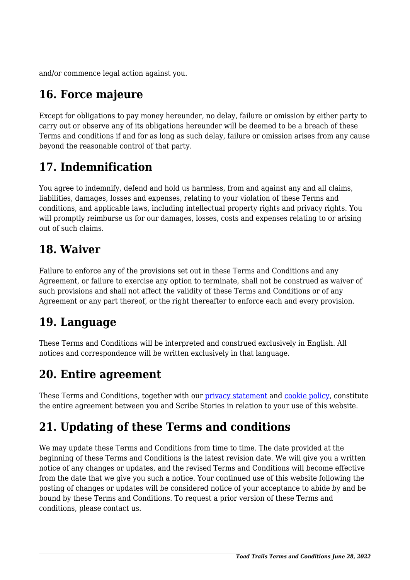and/or commence legal action against you.

# **16. Force majeure**

Except for obligations to pay money hereunder, no delay, failure or omission by either party to carry out or observe any of its obligations hereunder will be deemed to be a breach of these Terms and conditions if and for as long as such delay, failure or omission arises from any cause beyond the reasonable control of that party.

# **17. Indemnification**

You agree to indemnify, defend and hold us harmless, from and against any and all claims, liabilities, damages, losses and expenses, relating to your violation of these Terms and conditions, and applicable laws, including intellectual property rights and privacy rights. You will promptly reimburse us for our damages, losses, costs and expenses relating to or arising out of such claims.

#### **18. Waiver**

Failure to enforce any of the provisions set out in these Terms and Conditions and any Agreement, or failure to exercise any option to terminate, shall not be construed as waiver of such provisions and shall not affect the validity of these Terms and Conditions or of any Agreement or any part thereof, or the right thereafter to enforce each and every provision.

## **19. Language**

These Terms and Conditions will be interpreted and construed exclusively in English. All notices and correspondence will be written exclusively in that language.

#### **20. Entire agreement**

These Terms and Conditions, together with our privacy statement and [cookie policy,](https://toadtrails.com/cookie-policy-ca/) constitute the entire agreement between you and Scribe Stories in relation to your use of this website.

# **21. Updating of these Terms and conditions**

We may update these Terms and Conditions from time to time. The date provided at the beginning of these Terms and Conditions is the latest revision date. We will give you a written notice of any changes or updates, and the revised Terms and Conditions will become effective from the date that we give you such a notice. Your continued use of this website following the posting of changes or updates will be considered notice of your acceptance to abide by and be bound by these Terms and Conditions. To request a prior version of these Terms and conditions, please contact us.